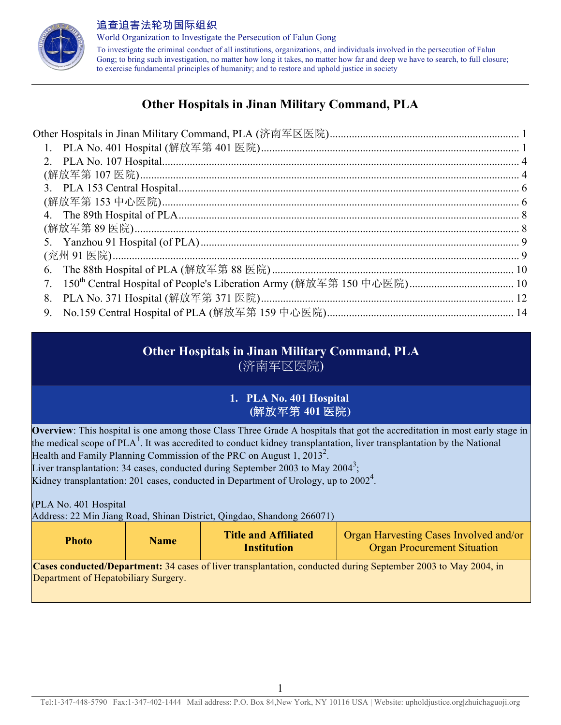

World Organization to Investigate the Persecution of Falun Gong To investigate the criminal conduct of all institutions, organizations, and individuals involved in the persecution of Falun Gong; to bring such investigation, no matter how long it takes, no matter how far and deep we have to search, to full closure; to exercise fundamental principles of humanity; and to restore and uphold justice in society

## **Other Hospitals in Jinan Military Command, PLA**

| 6. |  |
|----|--|
|    |  |
| 8. |  |
| 9. |  |

# **Other Hospitals in Jinan Military Command, PLA**

(济南军区医院)

## **1. PLA No. 401 Hospital (**解放军第 **401** 医院**)**

**Overview**: This hospital is one among those Class Three Grade A hospitals that got the accreditation in most early stage in the medical scope of PLA<sup>1</sup>. It was accredited to conduct kidney transplantation, liver transplantation by the National Health and Family Planning Commission of the PRC on August 1,  $2013^2$ . Liver transplantation: 34 cases, conducted during September 2003 to May 2004<sup>3</sup>; Kidney transplantation: 201 cases, conducted in Department of Urology, up to 2002<sup>4</sup>.

(PLA No. 401 Hospital

Address: 22 Min Jiang Road, Shinan District, Qingdao, Shandong 266071)

| <b>Photo</b>                         | <b>Name</b> | <b>Title and Affiliated</b><br><b>Institution</b> | Organ Harvesting Cases Involved and/or<br><b>Organ Procurement Situation</b>                                   |
|--------------------------------------|-------------|---------------------------------------------------|----------------------------------------------------------------------------------------------------------------|
| Department of Hepatobiliary Surgery. |             |                                                   | Cases conducted/Department: 34 cases of liver transplantation, conducted during September 2003 to May 2004, in |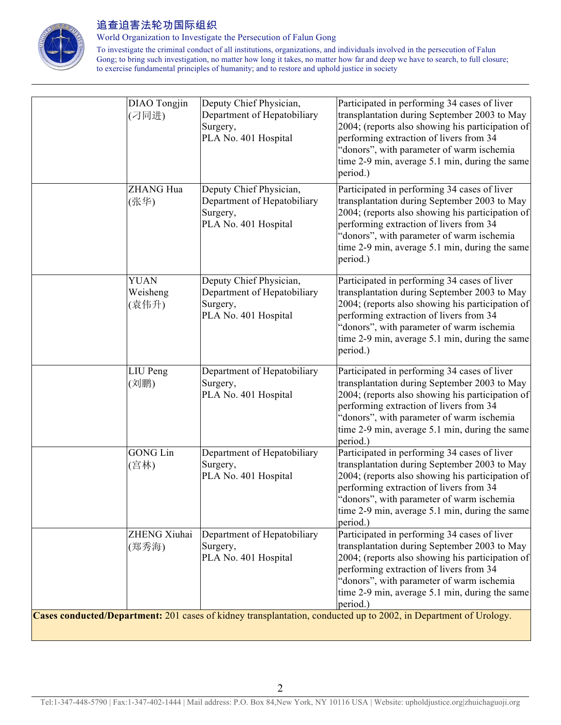

World Organization to Investigate the Persecution of Falun Gong

| (刁同进)                            | Department of Hepatobiliary<br>Surgery,<br>PLA No. 401 Hospital                            | Participated in performing 34 cases of liver<br>transplantation during September 2003 to May<br>2004; (reports also showing his participation of<br>performing extraction of livers from 34<br>"donors", with parameter of warm ischemia<br>time 2-9 min, average 5.1 min, during the same<br>period.) |
|----------------------------------|--------------------------------------------------------------------------------------------|--------------------------------------------------------------------------------------------------------------------------------------------------------------------------------------------------------------------------------------------------------------------------------------------------------|
| ZHANG Hua<br>(张华)                | Deputy Chief Physician,<br>Department of Hepatobiliary<br>Surgery,<br>PLA No. 401 Hospital | Participated in performing 34 cases of liver<br>transplantation during September 2003 to May<br>2004; (reports also showing his participation of<br>performing extraction of livers from 34<br>"donors", with parameter of warm ischemia<br>time 2-9 min, average 5.1 min, during the same<br>period.) |
| <b>YUAN</b><br>Weisheng<br>(袁伟升) | Deputy Chief Physician,<br>Department of Hepatobiliary<br>Surgery,<br>PLA No. 401 Hospital | Participated in performing 34 cases of liver<br>transplantation during September 2003 to May<br>2004; (reports also showing his participation of<br>performing extraction of livers from 34<br>"donors", with parameter of warm ischemia<br>time 2-9 min, average 5.1 min, during the same<br>period.) |
| LIU Peng<br>(刘鹏)                 | Department of Hepatobiliary<br>Surgery,<br>PLA No. 401 Hospital                            | Participated in performing 34 cases of liver<br>transplantation during September 2003 to May<br>2004; (reports also showing his participation of<br>performing extraction of livers from 34<br>"donors", with parameter of warm ischemia<br>time 2-9 min, average 5.1 min, during the same<br>period.) |
| <b>GONG Lin</b><br>(宫林)          | Department of Hepatobiliary<br>Surgery,<br>PLA No. 401 Hospital                            | Participated in performing 34 cases of liver<br>transplantation during September 2003 to May<br>2004; (reports also showing his participation of<br>performing extraction of livers from 34<br>"donors", with parameter of warm ischemia<br>time 2-9 min, average 5.1 min, during the same<br>period.) |
| ZHENG Xiuhai<br>(郑秀海)            | Department of Hepatobiliary<br>Surgery,<br>PLA No. 401 Hospital                            | Participated in performing 34 cases of liver<br>transplantation during September 2003 to May<br>2004; (reports also showing his participation of<br>performing extraction of livers from 34<br>"donors", with parameter of warm ischemia<br>time 2-9 min, average 5.1 min, during the same<br>period.) |
|                                  | DIAO Tongjin                                                                               | Deputy Chief Physician,<br>Cases conducted/Department: 201 cases of kidney transplantation, conducted up to 2002, in Department of Urology.                                                                                                                                                            |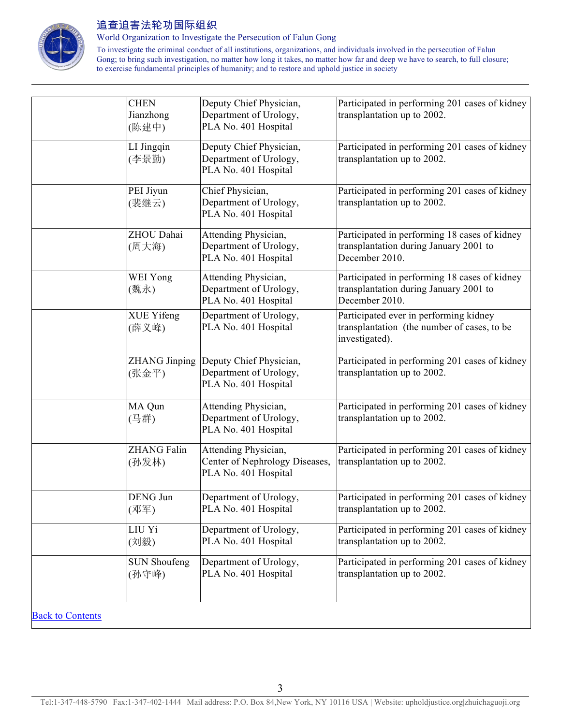

World Organization to Investigate the Persecution of Falun Gong

| <b>CHEN</b><br>Jianzhong      | Deputy Chief Physician,<br>Department of Urology,                              | Participated in performing 201 cases of kidney<br>transplantation up to 2002.                             |
|-------------------------------|--------------------------------------------------------------------------------|-----------------------------------------------------------------------------------------------------------|
| (陈建中)                         | PLA No. 401 Hospital                                                           |                                                                                                           |
| LI Jingqin<br>(李景勤)           | Deputy Chief Physician,<br>Department of Urology,<br>PLA No. 401 Hospital      | Participated in performing 201 cases of kidney<br>transplantation up to 2002.                             |
| PEI Jiyun<br>(裴继云)            | Chief Physician,<br>Department of Urology,<br>PLA No. 401 Hospital             | Participated in performing 201 cases of kidney<br>transplantation up to 2002.                             |
| ZHOU Dahai<br>(周大海)           | Attending Physician,<br>Department of Urology,<br>PLA No. 401 Hospital         | Participated in performing 18 cases of kidney<br>transplantation during January 2001 to<br>December 2010. |
| WEI Yong<br>(魏永)              | Attending Physician,<br>Department of Urology,<br>PLA No. 401 Hospital         | Participated in performing 18 cases of kidney<br>transplantation during January 2001 to<br>December 2010. |
| <b>XUE Yifeng</b><br>(薛义峰)    | Department of Urology,<br>PLA No. 401 Hospital                                 | Participated ever in performing kidney<br>transplantation (the number of cases, to be<br>investigated).   |
| <b>ZHANG Jinping</b><br>(张金平) | Deputy Chief Physician,<br>Department of Urology,<br>PLA No. 401 Hospital      | Participated in performing 201 cases of kidney<br>transplantation up to 2002.                             |
| MA Qun<br>(马群)                | Attending Physician,<br>Department of Urology,<br>PLA No. 401 Hospital         | Participated in performing 201 cases of kidney<br>transplantation up to 2002.                             |
| <b>ZHANG Falin</b><br>(孙发林)   | Attending Physician,<br>Center of Nephrology Diseases,<br>PLA No. 401 Hospital | Participated in performing 201 cases of kidney<br>transplantation up to 2002.                             |
| DENG Jun<br>(邓军)              | Department of Urology,<br>PLA No. 401 Hospital                                 | Participated in performing 201 cases of kidney<br>transplantation up to 2002.                             |
| LIU Yi<br>(刘毅)                | Department of Urology,<br>PLA No. 401 Hospital                                 | Participated in performing 201 cases of kidney<br>transplantation up to 2002.                             |
| <b>SUN Shoufeng</b><br>(孙守峰)  | Department of Urology,<br>PLA No. 401 Hospital                                 | Participated in performing 201 cases of kidney<br>transplantation up to 2002.                             |
| <b>Back to Contents</b>       |                                                                                |                                                                                                           |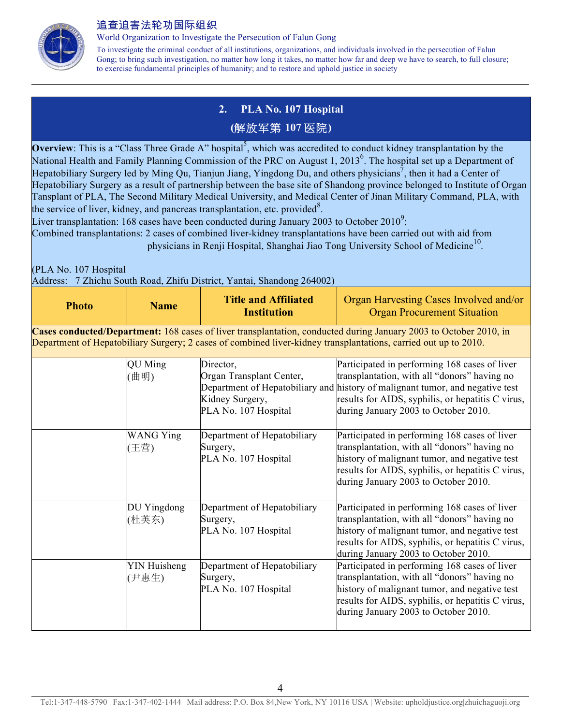

World Organization to Investigate the Persecution of Falun Gong

To investigate the criminal conduct of all institutions, organizations, and individuals involved in the persecution of Falun Gong; to bring such investigation, no matter how long it takes, no matter how far and deep we have to search, to full closure; to exercise fundamental principles of humanity; and to restore and uphold justice in society

## **2. PLA No. 107 Hospital**

#### **(**解放军第 **107** 医院**)**

**Overview**: This is a "Class Three Grade A" hospital<sup>5</sup>, which was accredited to conduct kidney transplantation by the National Health and Family Planning Commission of the PRC on August 1, 2013<sup>6</sup>. The hospital set up a Department of Hepatobiliary Surgery led by Ming Qu, Tianjun Jiang, Yingdong Du, and others physicians<sup>7</sup>, then it had a Center of Hepatobiliary Surgery as a result of partnership between the base site of Shandong province belonged to Institute of Organ Tansplant of PLA, The Second Military Medical University, and Medical Center of Jinan Military Command, PLA, with the service of liver, kidney, and pancreas transplantation, etc. provided<sup>8</sup>.

Liver transplantation: 168 cases have been conducted during January 2003 to October 2010<sup>9</sup>;

Combined transplantations: 2 cases of combined liver-kidney transplantations have been carried out with aid from physicians in Renji Hospital, Shanghai Jiao Tong University School of Medicine<sup>10</sup>.

(PLA No. 107 Hospital

Address: 7 Zhichu South Road, Zhifu District, Yantai, Shandong 264002)

| <b>Photo</b> | <b>Name</b>                  | <b>Title and Affiliated</b><br><b>Institution</b>                                | Organ Harvesting Cases Involved and/or<br><b>Organ Procurement Situation</b>                                                                                                                                                                                                |
|--------------|------------------------------|----------------------------------------------------------------------------------|-----------------------------------------------------------------------------------------------------------------------------------------------------------------------------------------------------------------------------------------------------------------------------|
|              |                              |                                                                                  | Cases conducted/Department: 168 cases of liver transplantation, conducted during January 2003 to October 2010, in<br>Department of Hepatobiliary Surgery; 2 cases of combined liver-kidney transplantations, carried out up to 2010.                                        |
|              | <b>QU</b> Ming<br>曲明)        | Director,<br>Organ Transplant Center,<br>Kidney Surgery,<br>PLA No. 107 Hospital | Participated in performing 168 cases of liver<br>transplantation, with all "donors" having no<br>Department of Hepatobiliary and history of malignant tumor, and negative test<br>results for AIDS, syphilis, or hepatitis C virus,<br>during January 2003 to October 2010. |
|              | <b>WANG Ying</b><br>(王营)     | Department of Hepatobiliary<br>Surgery,<br>PLA No. 107 Hospital                  | Participated in performing 168 cases of liver<br>transplantation, with all "donors" having no<br>history of malignant tumor, and negative test<br>results for AIDS, syphilis, or hepatitis C virus,<br>during January 2003 to October 2010.                                 |
|              | DU Yingdong<br>(杜英东)         | Department of Hepatobiliary<br>Surgery,<br>PLA No. 107 Hospital                  | Participated in performing 168 cases of liver<br>transplantation, with all "donors" having no<br>history of malignant tumor, and negative test<br>results for AIDS, syphilis, or hepatitis C virus,<br>during January 2003 to October 2010.                                 |
|              | <b>YIN Huisheng</b><br>(尹惠生) | Department of Hepatobiliary<br>Surgery,<br>PLA No. 107 Hospital                  | Participated in performing 168 cases of liver<br>transplantation, with all "donors" having no<br>history of malignant tumor, and negative test<br>results for AIDS, syphilis, or hepatitis C virus,<br>during January 2003 to October 2010.                                 |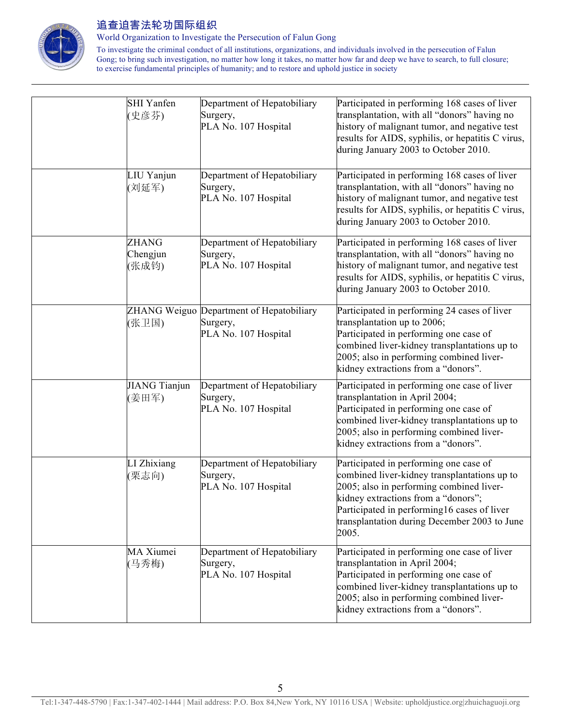

World Organization to Investigate the Persecution of Falun Gong

| <b>SHI</b> Yanfen<br>(史彦芬)        | Department of Hepatobiliary<br>Surgery,<br>PLA No. 107 Hospital              | Participated in performing 168 cases of liver<br>transplantation, with all "donors" having no<br>history of malignant tumor, and negative test<br>results for AIDS, syphilis, or hepatitis C virus,<br>during January 2003 to October 2010.                                       |
|-----------------------------------|------------------------------------------------------------------------------|-----------------------------------------------------------------------------------------------------------------------------------------------------------------------------------------------------------------------------------------------------------------------------------|
| LIU Yanjun<br>(刘延军)               | Department of Hepatobiliary<br>Surgery,<br>PLA No. 107 Hospital              | Participated in performing 168 cases of liver<br>transplantation, with all "donors" having no<br>history of malignant tumor, and negative test<br>results for AIDS, syphilis, or hepatitis C virus,<br>during January 2003 to October 2010.                                       |
| <b>ZHANG</b><br>Chengjun<br>(张成钧) | Department of Hepatobiliary<br>Surgery,<br>PLA No. 107 Hospital              | Participated in performing 168 cases of liver<br>transplantation, with all "donors" having no<br>history of malignant tumor, and negative test<br>results for AIDS, syphilis, or hepatitis C virus,<br>during January 2003 to October 2010.                                       |
| (张卫国)                             | ZHANG Weiguo Department of Hepatobiliary<br>Surgery,<br>PLA No. 107 Hospital | Participated in performing 24 cases of liver<br>transplantation up to 2006;<br>Participated in performing one case of<br>combined liver-kidney transplantations up to<br>2005; also in performing combined liver-<br>kidney extractions from a "donors".                          |
| <b>JIANG Tianjun</b><br>(姜田军)     | Department of Hepatobiliary<br>Surgery,<br>PLA No. 107 Hospital              | Participated in performing one case of liver<br>transplantation in April 2004;<br>Participated in performing one case of<br>combined liver-kidney transplantations up to<br>2005; also in performing combined liver-<br>kidney extractions from a "donors".                       |
| LI Zhixiang<br>(栗志向)              | Department of Hepatobiliary<br>Surgery,<br>PLA No. 107 Hospital              | Participated in performing one case of<br>combined liver-kidney transplantations up to<br>2005; also in performing combined liver-<br>kidney extractions from a "donors";<br>Participated in performing16 cases of liver<br>transplantation during December 2003 to June<br>2005. |
| MA Xiumei<br>(马秀梅)                | Department of Hepatobiliary<br>Surgery,<br>PLA No. 107 Hospital              | Participated in performing one case of liver<br>transplantation in April 2004;<br>Participated in performing one case of<br>combined liver-kidney transplantations up to<br>2005; also in performing combined liver-<br>kidney extractions from a "donors".                       |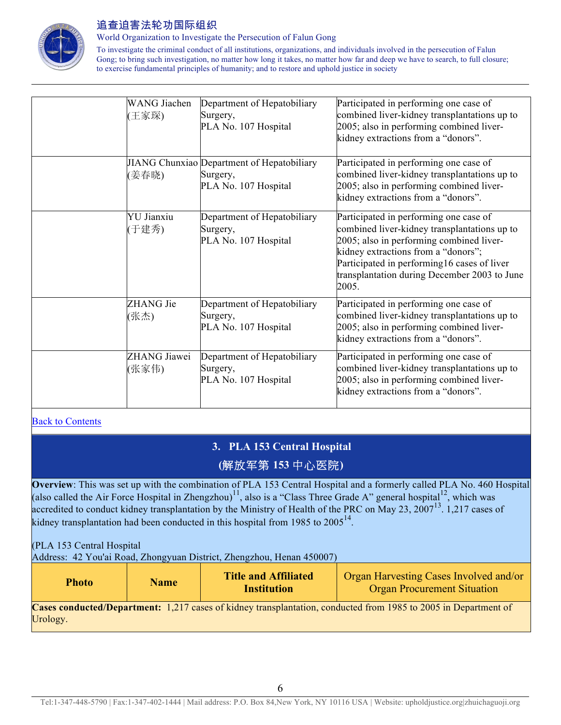

World Organization to Investigate the Persecution of Falun Gong

To investigate the criminal conduct of all institutions, organizations, and individuals involved in the persecution of Falun Gong; to bring such investigation, no matter how long it takes, no matter how far and deep we have to search, to full closure; to exercise fundamental principles of humanity; and to restore and uphold justice in society

| <b>WANG</b> Jiachen<br>(王家琛) | Department of Hepatobiliary<br>Surgery,<br>PLA No. 107 Hospital                | Participated in performing one case of<br>combined liver-kidney transplantations up to<br>2005; also in performing combined liver-<br>kidney extractions from a "donors".                                                                                                         |
|------------------------------|--------------------------------------------------------------------------------|-----------------------------------------------------------------------------------------------------------------------------------------------------------------------------------------------------------------------------------------------------------------------------------|
| (姜春晓)                        | JIANG Chunxiao Department of Hepatobiliary<br>Surgery,<br>PLA No. 107 Hospital | Participated in performing one case of<br>combined liver-kidney transplantations up to<br>2005; also in performing combined liver-<br>kidney extractions from a "donors".                                                                                                         |
| <b>YU</b> Jianxiu<br>(于建秀)   | Department of Hepatobiliary<br>Surgery,<br>PLA No. 107 Hospital                | Participated in performing one case of<br>combined liver-kidney transplantations up to<br>2005; also in performing combined liver-<br>kidney extractions from a "donors";<br>Participated in performing16 cases of liver<br>transplantation during December 2003 to June<br>2005. |
| ZHANG Jie<br>(张杰)            | Department of Hepatobiliary<br>Surgery,<br>PLA No. 107 Hospital                | Participated in performing one case of<br>combined liver-kidney transplantations up to<br>2005; also in performing combined liver-<br>kidney extractions from a "donors".                                                                                                         |
| ZHANG Jiawei<br>(张家伟)        | Department of Hepatobiliary<br>Surgery,<br>PLA No. 107 Hospital                | Participated in performing one case of<br>combined liver-kidney transplantations up to<br>2005; also in performing combined liver-<br>kidney extractions from a "donors".                                                                                                         |

**Back to Contents** 

## **3. PLA 153 Central Hospital (**解放军第 **153** 中心医院**)**

**Overview**: This was set up with the combination of PLA 153 Central Hospital and a formerly called PLA No. 460 Hospital (also called the Air Force Hospital in Zhengzhou)<sup>11</sup>, also is a "Class Three Grade A" general hospital<sup>12</sup>, which was accredited to conduct kidney transplantation by the Ministry of Health of the PRC on May 23, 2007<sup>13</sup>. 1,217 cases of kidney transplantation had been conducted in this hospital from 1985 to  $2005^{14}$ .

(PLA 153 Central Hospital

Address: 42 You'ai Road, Zhongyuan District, Zhengzhou, Henan 450007)

| <b>Photo</b> | <b>Title and Affiliated</b> | <b>Organ Harvesting Cases Involved and/or</b> |
|--------------|-----------------------------|-----------------------------------------------|
| <b>Name</b>  | Institution                 | <b>Organ Procurement Situation</b>            |

**Cases conducted/Department:** 1,217 cases of kidney transplantation, conducted from 1985 to 2005 in Department of Urology.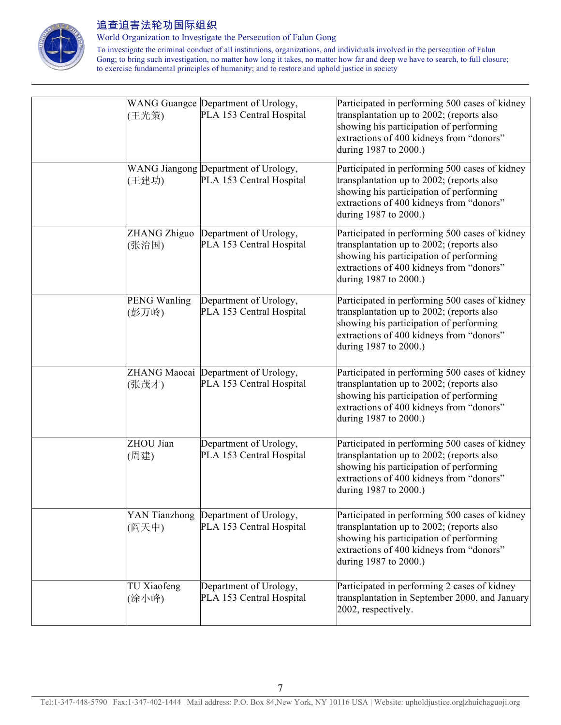

World Organization to Investigate the Persecution of Falun Gong

| (王光策)                        | WANG Guangce Department of Urology,<br>PLA 153 Central Hospital  | Participated in performing 500 cases of kidney<br>transplantation up to 2002; (reports also<br>showing his participation of performing<br>extractions of 400 kidneys from "donors"<br>during 1987 to 2000.) |
|------------------------------|------------------------------------------------------------------|-------------------------------------------------------------------------------------------------------------------------------------------------------------------------------------------------------------|
| (王建功)                        | WANG Jiangong Department of Urology,<br>PLA 153 Central Hospital | Participated in performing 500 cases of kidney<br>transplantation up to 2002; (reports also<br>showing his participation of performing<br>extractions of 400 kidneys from "donors"<br>during 1987 to 2000.) |
| ZHANG Zhiguo<br>(张治国)        | Department of Urology,<br>PLA 153 Central Hospital               | Participated in performing 500 cases of kidney<br>transplantation up to 2002; (reports also<br>showing his participation of performing<br>extractions of 400 kidneys from "donors"<br>during 1987 to 2000.) |
| <b>PENG Wanling</b><br>(彭万岭) | Department of Urology,<br>PLA 153 Central Hospital               | Participated in performing 500 cases of kidney<br>transplantation up to 2002; (reports also<br>showing his participation of performing<br>extractions of 400 kidneys from "donors"<br>during 1987 to 2000.) |
| (张茂才)                        | ZHANG Maocai Department of Urology,<br>PLA 153 Central Hospital  | Participated in performing 500 cases of kidney<br>transplantation up to 2002; (reports also<br>showing his participation of performing<br>extractions of 400 kidneys from "donors"<br>during 1987 to 2000.) |
| ZHOU Jian<br>(周建)            | Department of Urology,<br>PLA 153 Central Hospital               | Participated in performing 500 cases of kidney<br>transplantation up to 2002; (reports also<br>showing his participation of performing<br>extractions of 400 kidneys from "donors"<br>during 1987 to 2000.) |
| YAN Tianzhong<br>(阎天中)       | Department of Urology,<br>PLA 153 Central Hospital               | Participated in performing 500 cases of kidney<br>transplantation up to 2002; (reports also<br>showing his participation of performing<br>extractions of 400 kidneys from "donors"<br>during 1987 to 2000.) |
| TU Xiaofeng<br>(涂小峰)         | Department of Urology,<br>PLA 153 Central Hospital               | Participated in performing 2 cases of kidney<br>transplantation in September 2000, and January<br>2002, respectively.                                                                                       |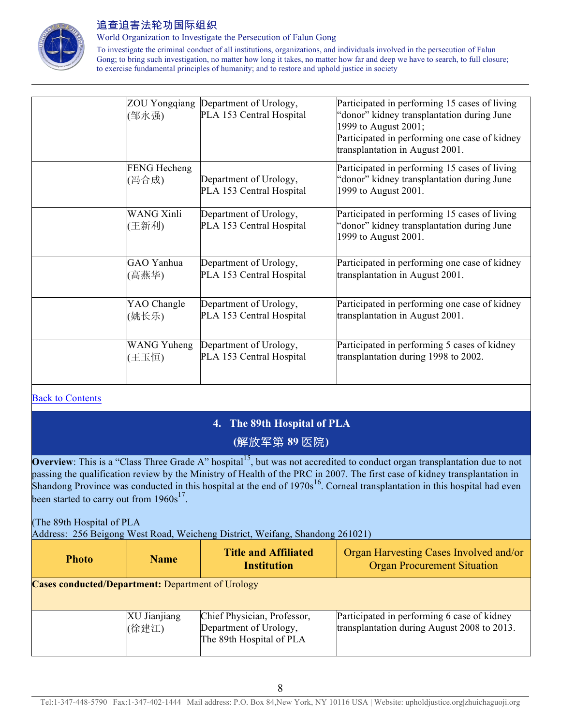

World Organization to Investigate the Persecution of Falun Gong

To investigate the criminal conduct of all institutions, organizations, and individuals involved in the persecution of Falun Gong; to bring such investigation, no matter how long it takes, no matter how far and deep we have to search, to full closure; to exercise fundamental principles of humanity; and to restore and uphold justice in society

| (邹永强)                      | ZOU Yongqiang Department of Urology,<br>PLA 153 Central Hospital | Participated in performing 15 cases of living<br>'donor" kidney transplantation during June<br>1999 to August 2001;<br>Participated in performing one case of kidney<br>transplantation in August 2001. |
|----------------------------|------------------------------------------------------------------|---------------------------------------------------------------------------------------------------------------------------------------------------------------------------------------------------------|
| FENG Hecheng<br>(冯合成)      | Department of Urology,<br>PLA 153 Central Hospital               | Participated in performing 15 cases of living<br>'donor" kidney transplantation during June<br>1999 to August 2001.                                                                                     |
| <b>WANG Xinli</b><br>(王新利) | Department of Urology,<br>PLA 153 Central Hospital               | Participated in performing 15 cases of living<br>'donor" kidney transplantation during June<br>1999 to August 2001.                                                                                     |
| GAO Yanhua                 | Department of Urology,                                           | Participated in performing one case of kidney                                                                                                                                                           |
| (高燕华)                      | PLA 153 Central Hospital                                         | transplantation in August 2001.                                                                                                                                                                         |
| YAO Changle                | Department of Urology,                                           | Participated in performing one case of kidney                                                                                                                                                           |
| (姚长乐)                      | PLA 153 Central Hospital                                         | transplantation in August 2001.                                                                                                                                                                         |
| WANG Yuheng                | Department of Urology,                                           | Participated in performing 5 cases of kidney                                                                                                                                                            |
| 王玉恒)                       | PLA 153 Central Hospital                                         | transplantation during 1998 to 2002.                                                                                                                                                                    |

#### Back to Contents

## **4. The 89th Hospital of PLA (**解放军第 **89** 医院**)**

**Overview**: This is a "Class Three Grade A" hospital<sup>15</sup>, but was not accredited to conduct organ transplantation due to not passing the qualification review by the Ministry of Health of the PRC in 2007. The first case of kidney transplantation in Shandong Province was conducted in this hospital at the end of  $1970s<sup>16</sup>$ . Corneal transplantation in this hospital had even been started to carry out from  $1960s^{17}$ .

#### (The 89th Hospital of PLA

Address: 256 Beigong West Road, Weicheng District, Weifang, Shandong 261021)

| <b>Photo</b>                                             | <b>Name</b>           | <b>Title and Affiliated</b><br><b>Institution</b>                                 | Organ Harvesting Cases Involved and/or<br><b>Organ Procurement Situation</b>               |
|----------------------------------------------------------|-----------------------|-----------------------------------------------------------------------------------|--------------------------------------------------------------------------------------------|
| <b>Cases conducted/Department: Department of Urology</b> |                       |                                                                                   |                                                                                            |
|                                                          | XU Jianjiang<br>(徐建江) | Chief Physician, Professor,<br>Department of Urology,<br>The 89th Hospital of PLA | Participated in performing 6 case of kidney<br>transplantation during August 2008 to 2013. |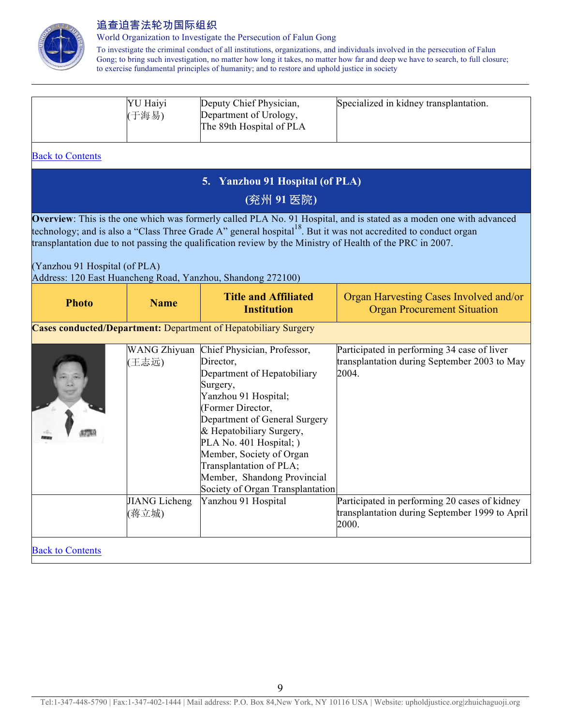

World Organization to Investigate the Persecution of Falun Gong

|                               | YU Haiyi<br>(于海易)             | Deputy Chief Physician,<br>Department of Urology,<br>The 89th Hospital of PLA                                                                                                                                                                                                                                                                                   | Specialized in kidney transplantation.                                                                                                                                                                                                             |
|-------------------------------|-------------------------------|-----------------------------------------------------------------------------------------------------------------------------------------------------------------------------------------------------------------------------------------------------------------------------------------------------------------------------------------------------------------|----------------------------------------------------------------------------------------------------------------------------------------------------------------------------------------------------------------------------------------------------|
| <b>Back to Contents</b>       |                               |                                                                                                                                                                                                                                                                                                                                                                 |                                                                                                                                                                                                                                                    |
|                               |                               | 5. Yanzhou 91 Hospital (of PLA)                                                                                                                                                                                                                                                                                                                                 |                                                                                                                                                                                                                                                    |
|                               |                               | (兖州 91 医院)                                                                                                                                                                                                                                                                                                                                                      |                                                                                                                                                                                                                                                    |
| (Yanzhou 91 Hospital (of PLA) |                               | transplantation due to not passing the qualification review by the Ministry of Health of the PRC in 2007.<br>Address: 120 East Huancheng Road, Yanzhou, Shandong 272100)                                                                                                                                                                                        | Overview: This is the one which was formerly called PLA No. 91 Hospital, and is stated as a moden one with advanced<br>technology; and is also a "Class Three Grade A" general hospital <sup>18</sup> . But it was not accredited to conduct organ |
| <b>Photo</b>                  | <b>Name</b>                   | <b>Title and Affiliated</b><br><b>Institution</b>                                                                                                                                                                                                                                                                                                               | Organ Harvesting Cases Involved and/or<br><b>Organ Procurement Situation</b>                                                                                                                                                                       |
|                               |                               | <b>Cases conducted/Department:</b> Department of Hepatobiliary Surgery                                                                                                                                                                                                                                                                                          |                                                                                                                                                                                                                                                    |
|                               | (王志远)                         | WANG Zhiyuan Chief Physician, Professor,<br>Director,<br>Department of Hepatobiliary<br>Surgery,<br>Yanzhou 91 Hospital;<br>(Former Director,<br>Department of General Surgery<br>& Hepatobiliary Surgery,<br>PLA No. 401 Hospital; )<br>Member, Society of Organ<br>Transplantation of PLA;<br>Member, Shandong Provincial<br>Society of Organ Transplantation | Participated in performing 34 case of liver<br>transplantation during September 2003 to May<br>2004.                                                                                                                                               |
|                               | <b>JIANG</b> Licheng<br>(蒋立城) | Yanzhou 91 Hospital                                                                                                                                                                                                                                                                                                                                             | Participated in performing 20 cases of kidney<br>transplantation during September 1999 to April<br>2000.                                                                                                                                           |
| <b>Back to Contents</b>       |                               |                                                                                                                                                                                                                                                                                                                                                                 |                                                                                                                                                                                                                                                    |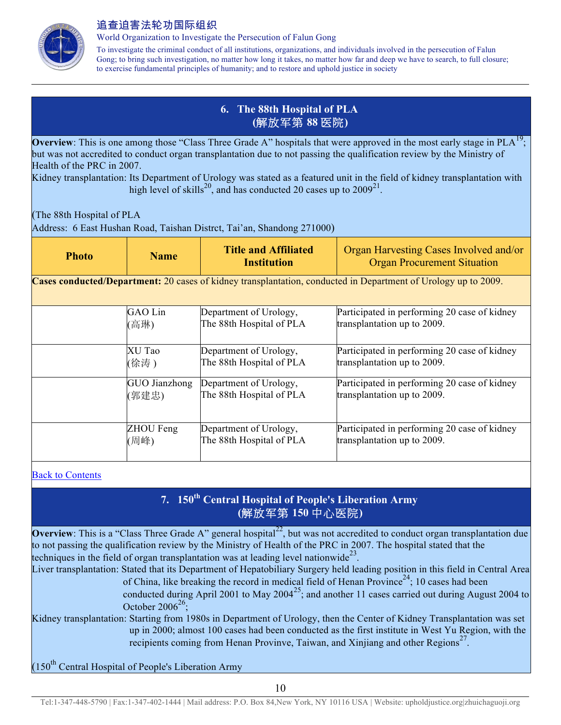

World Organization to Investigate the Persecution of Falun Gong

To investigate the criminal conduct of all institutions, organizations, and individuals involved in the persecution of Falun Gong; to bring such investigation, no matter how long it takes, no matter how far and deep we have to search, to full closure; to exercise fundamental principles of humanity; and to restore and uphold justice in society

### **6. The 88th Hospital of PLA (**解放军第 **88** 医院**)**

**Overview**: This is one among those "Class Three Grade A" hospitals that were approved in the most early stage in  $PLA<sup>19</sup>$ ; but was not accredited to conduct organ transplantation due to not passing the qualification review by the Ministry of Health of the PRC in 2007.

Kidney transplantation: Its Department of Urology was stated as a featured unit in the field of kidney transplantation with high level of skills<sup>20</sup>, and has conducted 20 cases up to  $2009^{21}$ .

(The 88th Hospital of PLA

Address: 6 East Hushan Road, Taishan Distrct, Tai'an, Shandong 271000)

| <b>Photo</b>                                                                                                   | <b>Name</b>   | <b>Title and Affiliated</b><br><b>Institution</b> | Organ Harvesting Cases Involved and/or<br><b>Organ Procurement Situation</b> |
|----------------------------------------------------------------------------------------------------------------|---------------|---------------------------------------------------|------------------------------------------------------------------------------|
| Cases conducted/Department: 20 cases of kidney transplantation, conducted in Department of Urology up to 2009. |               |                                                   |                                                                              |
|                                                                                                                | GAO Lin       | Department of Urology,                            | Participated in performing 20 case of kidney                                 |
|                                                                                                                | (高琳)          | The 88th Hospital of PLA                          | transplantation up to 2009.                                                  |
|                                                                                                                | XU Tao        | Department of Urology,                            | Participated in performing 20 case of kidney                                 |
|                                                                                                                | (徐涛)          | The 88th Hospital of PLA                          | transplantation up to 2009.                                                  |
|                                                                                                                | GUO Jianzhong | Department of Urology,                            | Participated in performing 20 case of kidney                                 |
|                                                                                                                | (郭建忠)         | The 88th Hospital of PLA                          | transplantation up to 2009.                                                  |
|                                                                                                                | ZHOU Feng     | Department of Urology,                            | Participated in performing 20 case of kidney                                 |
|                                                                                                                | (周峰)          | The 88th Hospital of PLA                          | transplantation up to 2009.                                                  |

Back to Contents

## **7. 150th Central Hospital of People's Liberation Army (**解放军第 **150** 中心医院**)**

**Overview**: This is a "Class Three Grade A" general hospital<sup>22</sup>, but was not accredited to conduct organ transplantation due to not passing the qualification review by the Ministry of Health of the PRC in 2007. The hospital stated that the techniques in the field of organ transplantation was at leading level nationwide<sup>23</sup>.

Liver transplantation: Stated that its Department of Hepatobiliary Surgery held leading position in this field in Central Area of China, like breaking the record in medical field of Henan Province<sup>24</sup>; 10 cases had been

conducted during April 2001 to May  $2004^{25}$ ; and another 11 cases carried out during August 2004 to October 2006 $26$ ;

Kidney transplantation: Starting from 1980s in Department of Urology, then the Center of Kidney Transplantation was set up in 2000; almost 100 cases had been conducted as the first institute in West Yu Region, with the recipients coming from Henan Provinve, Taiwan, and Xinjiang and other Regions<sup>27</sup>.

 $(150<sup>th</sup>$  Central Hospital of People's Liberation Army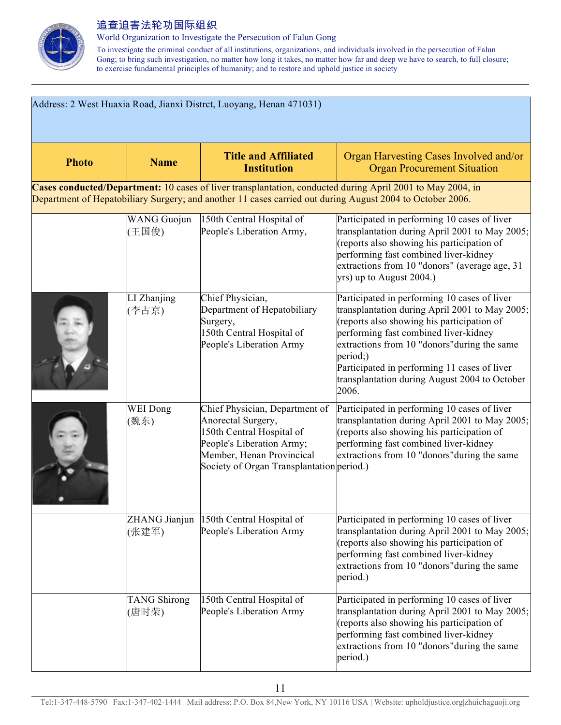

World Organization to Investigate the Persecution of Falun Gong

| Address: 2 West Huaxia Road, Jianxi Distrct, Luoyang, Henan 471031) |                              |                                                                                                                                                                                          |                                                                                                                                                                                                                                                                                                                                                             |
|---------------------------------------------------------------------|------------------------------|------------------------------------------------------------------------------------------------------------------------------------------------------------------------------------------|-------------------------------------------------------------------------------------------------------------------------------------------------------------------------------------------------------------------------------------------------------------------------------------------------------------------------------------------------------------|
| <b>Photo</b>                                                        | <b>Name</b>                  | <b>Title and Affiliated</b><br><b>Institution</b>                                                                                                                                        | Organ Harvesting Cases Involved and/or<br><b>Organ Procurement Situation</b>                                                                                                                                                                                                                                                                                |
|                                                                     |                              | Department of Hepatobiliary Surgery; and another 11 cases carried out during August 2004 to October 2006.                                                                                | Cases conducted/Department: 10 cases of liver transplantation, conducted during April 2001 to May 2004, in                                                                                                                                                                                                                                                  |
|                                                                     | <b>WANG</b> Guojun<br>(王国俊)  | 150th Central Hospital of<br>People's Liberation Army,                                                                                                                                   | Participated in performing 10 cases of liver<br>transplantation during April 2001 to May 2005;<br>(reports also showing his participation of<br>performing fast combined liver-kidney<br>extractions from 10 "donors" (average age, 31<br>yrs) up to August 2004.)                                                                                          |
|                                                                     | LI Zhanjing<br>(李占京)         | Chief Physician,<br>Department of Hepatobiliary<br>Surgery,<br>150th Central Hospital of<br>People's Liberation Army                                                                     | Participated in performing 10 cases of liver<br>transplantation during April 2001 to May 2005;<br>(reports also showing his participation of<br>performing fast combined liver-kidney<br>extractions from 10 "donors" during the same<br>period;)<br>Participated in performing 11 cases of liver<br>transplantation during August 2004 to October<br>2006. |
|                                                                     | WEI Dong<br>(魏东)             | Chief Physician, Department of<br>Anorectal Surgery,<br>150th Central Hospital of<br>People's Liberation Army;<br>Member, Henan Provincical<br>Society of Organ Transplantation period.) | Participated in performing 10 cases of liver<br>transplantation during April 2001 to May 2005;<br>(reports also showing his participation of<br>performing fast combined liver-kidney<br>extractions from 10 "donors" during the same                                                                                                                       |
|                                                                     | ZHANG Jianjun<br>(张建军)       | 150th Central Hospital of<br>People's Liberation Army                                                                                                                                    | Participated in performing 10 cases of liver<br>transplantation during April 2001 to May 2005;<br>(reports also showing his participation of<br>performing fast combined liver-kidney<br>extractions from 10 "donors" during the same<br>period.)                                                                                                           |
|                                                                     | <b>TANG Shirong</b><br>(唐时荣) | 150th Central Hospital of<br>People's Liberation Army                                                                                                                                    | Participated in performing 10 cases of liver<br>transplantation during April 2001 to May 2005;<br>(reports also showing his participation of<br>performing fast combined liver-kidney<br>extractions from 10 "donors" during the same<br>period.)                                                                                                           |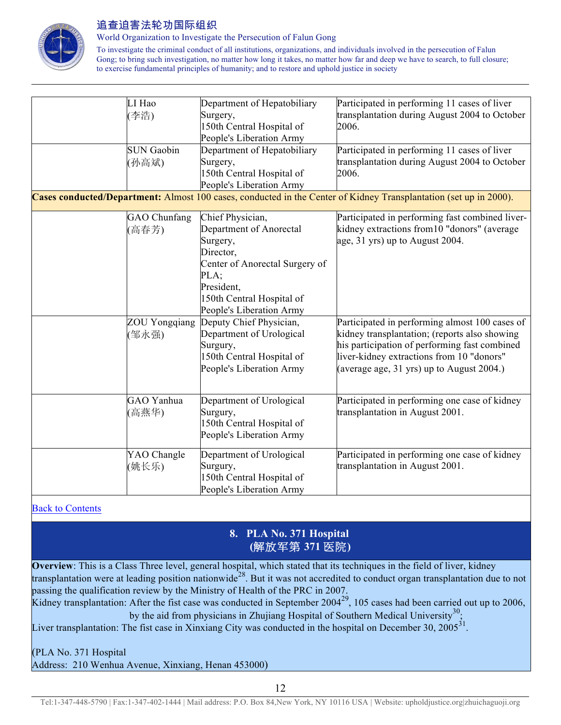

World Organization to Investigate the Persecution of Falun Gong

To investigate the criminal conduct of all institutions, organizations, and individuals involved in the persecution of Falun Gong; to bring such investigation, no matter how long it takes, no matter how far and deep we have to search, to full closure; to exercise fundamental principles of humanity; and to restore and uphold justice in society

| LI Hao               | Department of Hepatobiliary    | Participated in performing 11 cases of liver                                                                      |
|----------------------|--------------------------------|-------------------------------------------------------------------------------------------------------------------|
| 李浩)                  | Surgery,                       | transplantation during August 2004 to October                                                                     |
|                      | 150th Central Hospital of      | 2006.                                                                                                             |
|                      | People's Liberation Army       |                                                                                                                   |
| <b>SUN Gaobin</b>    | Department of Hepatobiliary    | Participated in performing 11 cases of liver                                                                      |
| (孙高斌)                | Surgery,                       | transplantation during August 2004 to October                                                                     |
|                      | 150th Central Hospital of      | 2006.                                                                                                             |
|                      | People's Liberation Army       |                                                                                                                   |
|                      |                                | Cases conducted/Department: Almost 100 cases, conducted in the Center of Kidney Transplantation (set up in 2000). |
| GAO Chunfang         | Chief Physician,               | Participated in performing fast combined liver-                                                                   |
| 高春芳)                 | Department of Anorectal        | kidney extractions from 10 "donors" (average                                                                      |
|                      | Surgery,                       | age, 31 yrs) up to August 2004.                                                                                   |
|                      | Director,                      |                                                                                                                   |
|                      | Center of Anorectal Surgery of |                                                                                                                   |
|                      | PLA;                           |                                                                                                                   |
|                      | President,                     |                                                                                                                   |
|                      | 150th Central Hospital of      |                                                                                                                   |
|                      | People's Liberation Army       |                                                                                                                   |
| <b>ZOU Yongqiang</b> | Deputy Chief Physician,        | Participated in performing almost 100 cases of                                                                    |
| (邹永强)                | Department of Urological       | kidney transplantation; (reports also showing                                                                     |
|                      | Surgury,                       | his participation of performing fast combined                                                                     |
|                      | 150th Central Hospital of      | liver-kidney extractions from 10 "donors"                                                                         |
|                      | People's Liberation Army       | (average age, 31 yrs) up to August 2004.)                                                                         |
|                      |                                |                                                                                                                   |
| GAO Yanhua           | Department of Urological       | Participated in performing one case of kidney                                                                     |
| (高燕华)                | Surgury,                       | transplantation in August 2001.                                                                                   |
|                      | 150th Central Hospital of      |                                                                                                                   |
|                      | People's Liberation Army       |                                                                                                                   |
|                      |                                |                                                                                                                   |
| YAO Changle          | Department of Urological       | Participated in performing one case of kidney                                                                     |
| (姚长乐)                | Surgury,                       | transplantation in August 2001.                                                                                   |
|                      | 150th Central Hospital of      |                                                                                                                   |
|                      | People's Liberation Army       |                                                                                                                   |

#### Back to Contents

#### **8. PLA No. 371 Hospital (**解放军第 **371** 医院**)**

**Overview**: This is a Class Three level, general hospital, which stated that its techniques in the field of liver, kidney transplantation were at leading position nationwide<sup>28</sup>. But it was not accredited to conduct organ transplantation due to not passing the qualification review by the Ministry of Health of the PRC in 2007. Kidney transplantation: After the fist case was conducted in September  $2004^{29}$ , 105 cases had been carried out up to 2006, by the aid from physicians in Zhujiang Hospital of Southern Medical University<sup>30</sup>; Liver transplantation: The fist case in Xinxiang City was conducted in the hospital on December 30, 2005<sup>31</sup>.

## (PLA No. 371 Hospital

Address: 210 Wenhua Avenue, Xinxiang, Henan 453000)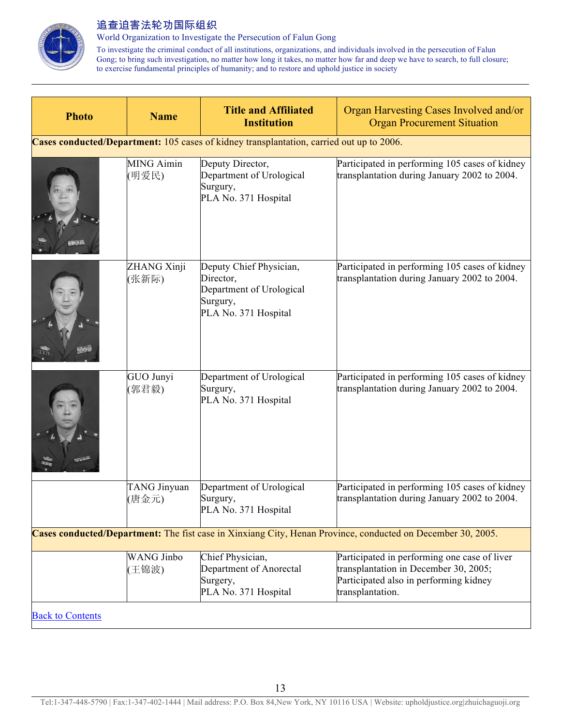

World Organization to Investigate the Persecution of Falun Gong

| <b>Photo</b>            | <b>Name</b>                | <b>Title and Affiliated</b><br><b>Institution</b>                                                    | Organ Harvesting Cases Involved and/or<br><b>Organ Procurement Situation</b>                                                                        |
|-------------------------|----------------------------|------------------------------------------------------------------------------------------------------|-----------------------------------------------------------------------------------------------------------------------------------------------------|
|                         |                            | Cases conducted/Department: 105 cases of kidney transplantation, carried out up to 2006.             |                                                                                                                                                     |
|                         | <b>MING Aimin</b><br>(明爱民) | Deputy Director,<br>Department of Urological<br>Surgury,<br>PLA No. 371 Hospital                     | Participated in performing 105 cases of kidney<br>transplantation during January 2002 to 2004.                                                      |
|                         | ZHANG Xinji<br>(张新际)       | Deputy Chief Physician,<br>Director,<br>Department of Urological<br>Surgury,<br>PLA No. 371 Hospital | Participated in performing 105 cases of kidney<br>transplantation during January 2002 to 2004.                                                      |
|                         | GUO Junyi<br>(郭君毅)         | Department of Urological<br>Surgury,<br>PLA No. 371 Hospital                                         | Participated in performing 105 cases of kidney<br>transplantation during January 2002 to 2004.                                                      |
|                         | TANG Jinyuan<br>(唐金元)      | Department of Urological<br>Surgury,<br>PLA No. 371 Hospital                                         | Participated in performing 105 cases of kidney<br>transplantation during January 2002 to 2004.                                                      |
|                         |                            |                                                                                                      | Cases conducted/Department: The fist case in Xinxiang City, Henan Province, conducted on December 30, 2005.                                         |
|                         | <b>WANG Jinbo</b><br>(王锦波) | Chief Physician,<br>Department of Anorectal<br>Surgery,<br>PLA No. 371 Hospital                      | Participated in performing one case of liver<br>transplantation in December 30, 2005;<br>Participated also in performing kidney<br>transplantation. |
| <b>Back to Contents</b> |                            |                                                                                                      |                                                                                                                                                     |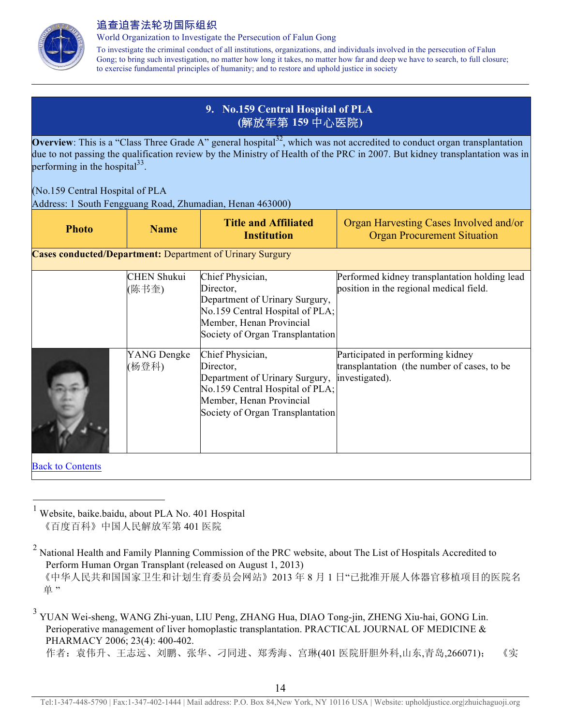

World Organization to Investigate the Persecution of Falun Gong

To investigate the criminal conduct of all institutions, organizations, and individuals involved in the persecution of Falun Gong; to bring such investigation, no matter how long it takes, no matter how far and deep we have to search, to full closure; to exercise fundamental principles of humanity; and to restore and uphold justice in society

## **9. No.159 Central Hospital of PLA (**解放军第 **159** 中心医院**)**

**Overview**: This is a "Class Three Grade A" general hospital<sup>32</sup>, which was not accredited to conduct organ transplantation due to not passing the qualification review by the Ministry of Health of the PRC in 2007. But kidney transplantation was in performing in the hospital $^{33}$ .

#### (No.159 Central Hospital of PLA

Address: 1 South Fengguang Road, Zhumadian, Henan 463000)

| <b>Photo</b>                                                     | <b>Name</b>                 | <b>Title and Affiliated</b><br><b>Institution</b>                                                                                                                  | Organ Harvesting Cases Involved and/or<br><b>Organ Procurement Situation</b>                       |
|------------------------------------------------------------------|-----------------------------|--------------------------------------------------------------------------------------------------------------------------------------------------------------------|----------------------------------------------------------------------------------------------------|
| <b>Cases conducted/Department: Department of Urinary Surgury</b> |                             |                                                                                                                                                                    |                                                                                                    |
|                                                                  | <b>CHEN Shukui</b><br>(陈书奎) | Chief Physician,<br>Director,<br>Department of Urinary Surgury,<br>No.159 Central Hospital of PLA;<br>Member, Henan Provincial<br>Society of Organ Transplantation | Performed kidney transplantation holding lead<br>position in the regional medical field.           |
|                                                                  | YANG Dengke<br>(杨登科)        | Chief Physician,<br>Director,<br>Department of Urinary Surgury,<br>No.159 Central Hospital of PLA;<br>Member, Henan Provincial<br>Society of Organ Transplantation | Participated in performing kidney<br>transplantation (the number of cases, to be<br>investigated). |
| <b>Back to Contents</b>                                          |                             |                                                                                                                                                                    |                                                                                                    |

 $<sup>1</sup>$  Website, baike.baidu, about PLA No. 401 Hospital</sup> 《百度百科》中国人民解放军第 401 医院

单"

<sup>&</sup>lt;sup>2</sup> National Health and Family Planning Commission of the PRC website, about The List of Hospitals Accredited to Perform Human Organ Transplant (released on August 1, 2013) 《中华人民共和国国家卫生和计划生育委员会网站》2013 年 8 月 1 日"已批准开展人体器官移植项目的医院名

<sup>&</sup>lt;sup>3</sup> YUAN Wei-sheng, WANG Zhi-yuan, LIU Peng, ZHANG Hua, DIAO Tong-jin, ZHENG Xiu-hai, GONG Lin. Perioperative management of liver homoplastic transplantation. PRACTICAL JOURNAL OF MEDICINE & PHARMACY 2006; 23(4): 400-402. 作者:袁伟升、王志远、刘鹏、张华、刁同进、郑秀海、宫琳(401 医院肝胆外科,山东,青岛,266071); 《实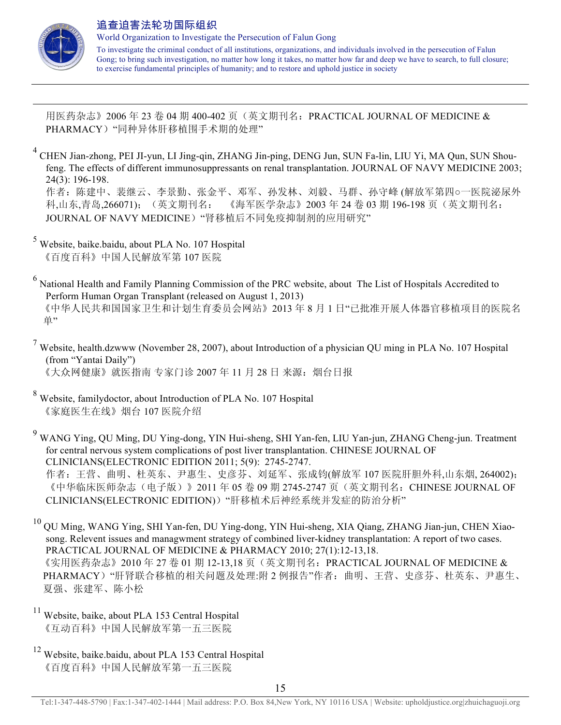

 $\overline{a}$ 

#### 追查迫害法轮功国际组织

World Organization to Investigate the Persecution of Falun Gong To investigate the criminal conduct of all institutions, organizations, and individuals involved in the persecution of Falun Gong; to bring such investigation, no matter how long it takes, no matter how far and deep we have to search, to full closure; to exercise fundamental principles of humanity; and to restore and uphold justice in society

用医药杂志》2006 年 23 卷 04 期 400-402 页(英文期刊名:PRACTICAL JOURNAL OF MEDICINE & PHARMACY)"同种异体肝移植围手术期的处理"

- <sup>4</sup> CHEN Jian-zhong, PEI JI-yun, LI Jing-qin, ZHANG Jin-ping, DENG Jun, SUN Fa-lin, LIU Yi, MA Qun, SUN Shoufeng. The effects of different immunosuppressants on renal transplantation. JOURNAL OF NAVY MEDICINE 2003; 24(3): 196-198. 作者:陈建中、裴继云、李景勤、张金平、邓军、孙发林、刘毅、马群、孙守峰 (解放军第四○一医院泌尿外 科,山东,青岛,266071);(英文期刊名: 《海军医学杂志》2003 年 24 卷 03 期 196-198 页(英文期刊名: JOURNAL OF NAVY MEDICINE) "肾移植后不同免疫抑制剂的应用研究"
- <sup>5</sup> Website, baike.baidu, about PLA No. 107 Hospital 《百度百科》中国人民解放军第 107 医院
- <sup>6</sup> National Health and Family Planning Commission of the PRC website, about The List of Hospitals Accredited to Perform Human Organ Transplant (released on August 1, 2013) 《中华人民共和国国家卫生和计划生育委员会网站》2013 年 8 月 1 日"已批准开展人体器官移植项目的医院名 单"
- $7$  Website, health.dzwww (November 28, 2007), about Introduction of a physician QU ming in PLA No. 107 Hospital (from "Yantai Daily") 《大众网健康》就医指南 专家门诊 2007年 11月 28日 来源: 烟台日报
- <sup>8</sup> Website, familydoctor, about Introduction of PLA No. 107 Hospital 《家庭医生在线》烟台 107 医院介绍
- <sup>9</sup> WANG Ying, QU Ming, DU Ying-dong, YIN Hui-sheng, SHI Yan-fen, LIU Yan-jun, ZHANG Cheng-jun. Treatment for central nervous system complications of post liver transplantation. CHINESE JOURNAL OF CLINICIANS(ELECTRONIC EDITION 2011; 5(9): 2745-2747. 作者:王营、曲明、杜英东、尹惠生、史彦芬、刘延军、张成钧(解放军 107 医院肝胆外科,山东烟, 264002); 《中华临床医师杂志(电子版)》2011 年 05 卷 09 期 2745-2747 页(英文期刊名: CHINESE JOURNAL OF CLINICIANS(ELECTRONIC EDITION))"肝移植术后神经系统并发症的防治分析"
- <sup>10</sup> QU Ming, WANG Ying, SHI Yan-fen, DU Ying-dong, YIN Hui-sheng, XIA Qiang, ZHANG Jian-jun, CHEN Xiaosong. Relevent issues and managwment strategy of combined liver-kidney transplantation: A report of two cases. PRACTICAL JOURNAL OF MEDICINE & PHARMACY 2010; 27(1):12-13,18. 《实用医药杂志》2010 年 27 卷 01 期 12-13,18 页(英文期刊名: PRACTICAL JOURNAL OF MEDICINE & PHARMACY)"肝肾联合移植的相关问题及处理:附 2 例报告"作者:曲明、王营、史彦芬、杜英东、尹惠生、 夏强、张建军、陈小松
- $11$  Website, baike, about PLA 153 Central Hospital 《互动百科》中国人民解放军第一五三医院
- <sup>12</sup> Website, baike.baidu, about PLA 153 Central Hospital 《百度百科》中国人民解放军第一五三医院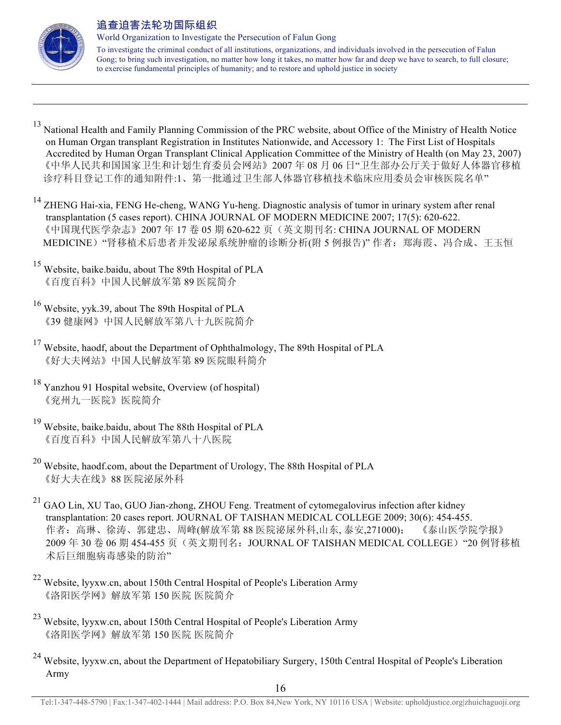

 $\overline{a}$ 

#### 追查迫害法轮功国际组织

World Organization to Investigate the Persecution of Falun Gong

- <sup>13</sup> National Health and Family Planning Commission of the PRC website, about Office of the Ministry of Health Notice on Human Organ transplant Registration in Institutes Nationwide, and Accessory 1: The First List of Hospitals Accredited by Human Organ Transplant Clinical Application Committee of the Ministry of Health (on May 23, 2007) 《中华人民共和国国家卫生和计划生育委员会网站》2007 年 08 月 06 日"卫生部办公厅关于做好人体器官移植 诊疗科目登记工作的通知附件:1、第一批通过卫生部人体器官移植技术临床应用委员会审核医院名单"
- <sup>14</sup> ZHENG Hai-xia, FENG He-cheng, WANG Yu-heng. Diagnostic analysis of tumor in urinary system after renal transplantation (5 cases report). CHINA JOURNAL OF MODERN MEDICINE 2007; 17(5): 620-622. 《中国现代医学杂志》2007 年 17 卷 05 期 620-622 页(英文期刊名: CHINA JOURNAL OF MODERN MEDICINE) "肾移植术后患者并发泌尿系统肿瘤的诊断分析(附 5 例报告)" 作者: 郑海霞、冯合成、王玉恒
- <sup>15</sup> Website, baike.baidu, about The 89th Hospital of PLA 《百度百科》中国人民解放军第 89 医院简介
- <sup>16</sup> Website, yyk.39, about The 89th Hospital of PLA 《39 健康网》中国人民解放军第八十九医院简介
- <sup>17</sup> Website, haodf, about the Department of Ophthalmology, The 89th Hospital of PLA 《好大夫网站》中国人民解放军第 89 医院眼科简介
- <sup>18</sup> Yanzhou 91 Hospital website, Overview (of hospital) 《兖州九一医院》医院简介
- <sup>19</sup> Website, baike.baidu, about The 88th Hospital of PLA 《百度百科》中国人民解放军第八十八医院
- <sup>20</sup> Website, haodf.com, about the Department of Urology, The 88th Hospital of PLA 《好大夫在线》88 医院泌尿外科
- <sup>21</sup> GAO Lin, XU Tao, GUO Jian-zhong, ZHOU Feng. Treatment of cytomegalovirus infection after kidney transplantation: 20 cases report. JOURNAL OF TAISHAN MEDICAL COLLEGE 2009; 30(6): 454-455. 作者:高琳、徐涛、郭建忠、周峰(解放军第 88 医院泌尿外科,山东, 泰安,271000); 《泰山医学院学报》 2009 年 30 卷 06 期 454-455 页(英文期刊名:JOURNAL OF TAISHAN MEDICAL COLLEGE)"20 例肾移植 术后巨细胞病毒感染的防治"
- <sup>22</sup> Website, lyyxw.cn, about 150th Central Hospital of People's Liberation Army 《洛阳医学网》解放军第 150 医院 医院简介
- <sup>23</sup> Website, lyyxw.cn, about 150th Central Hospital of People's Liberation Army 《洛阳医学网》解放军第 150 医院 医院简介
- <sup>24</sup> Website, lyyxw.cn, about the Department of Hepatobiliary Surgery, 150th Central Hospital of People's Liberation Army

Tel:1-347-448-5790 | Fax:1-347-402-1444 | Mail address: P.O. Box 84,New York, NY 10116 USA | Website: upholdjustice.org|zhuichaguoji.org